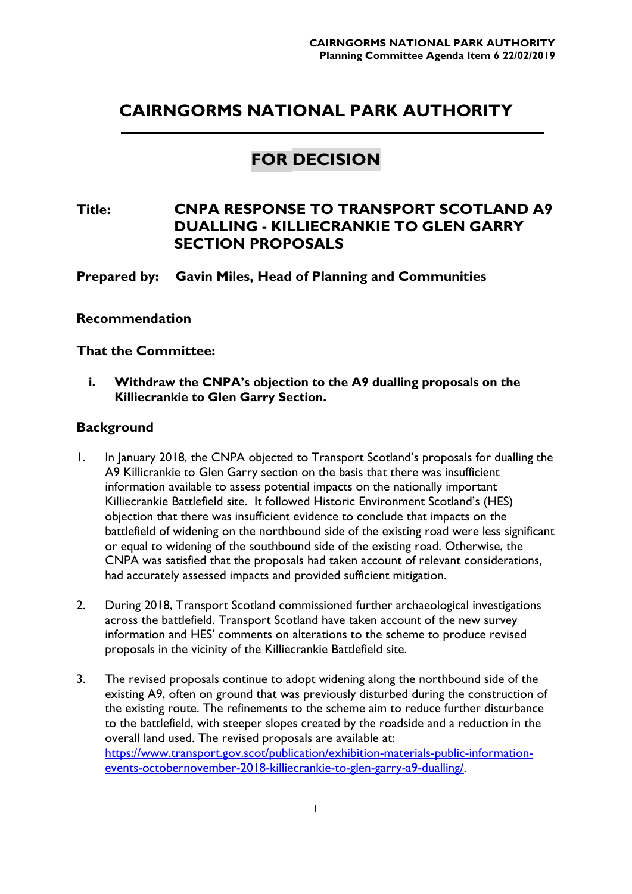# **CAIRNGORMS NATIONAL PARK AUTHORITY**

## **FOR DECISION**

**Title: CNPA RESPONSE TO TRANSPORT SCOTLAND A9 DUALLING - KILLIECRANKIE TO GLEN GARRY SECTION PROPOSALS** 

**Prepared by: Gavin Miles, Head of Planning and Communities** 

#### **Recommendation**

**That the Committee:** 

**i. Withdraw the CNPA's objection to the A9 dualling proposals on the Killiecrankie to Glen Garry Section.** 

#### **Background**

- 1. In January 2018, the CNPA objected to Transport Scotland's proposals for dualling the A9 Killicrankie to Glen Garry section on the basis that there was insufficient information available to assess potential impacts on the nationally important Killiecrankie Battlefield site. It followed Historic Environment Scotland's (HES) objection that there was insufficient evidence to conclude that impacts on the battlefield of widening on the northbound side of the existing road were less significant or equal to widening of the southbound side of the existing road. Otherwise, the CNPA was satisfied that the proposals had taken account of relevant considerations, had accurately assessed impacts and provided sufficient mitigation.
- 2. During 2018, Transport Scotland commissioned further archaeological investigations across the battlefield. Transport Scotland have taken account of the new survey information and HES' comments on alterations to the scheme to produce revised proposals in the vicinity of the Killiecrankie Battlefield site.
- 3. The revised proposals continue to adopt widening along the northbound side of the existing A9, often on ground that was previously disturbed during the construction of the existing route. The refinements to the scheme aim to reduce further disturbance to the battlefield, with steeper slopes created by the roadside and a reduction in the overall land used. The revised proposals are available at: https://www.transport.gov.scot/publication/exhibition-materials-public-informationevents-octobernovember-2018-killiecrankie-to-glen-garry-a9-dualling/.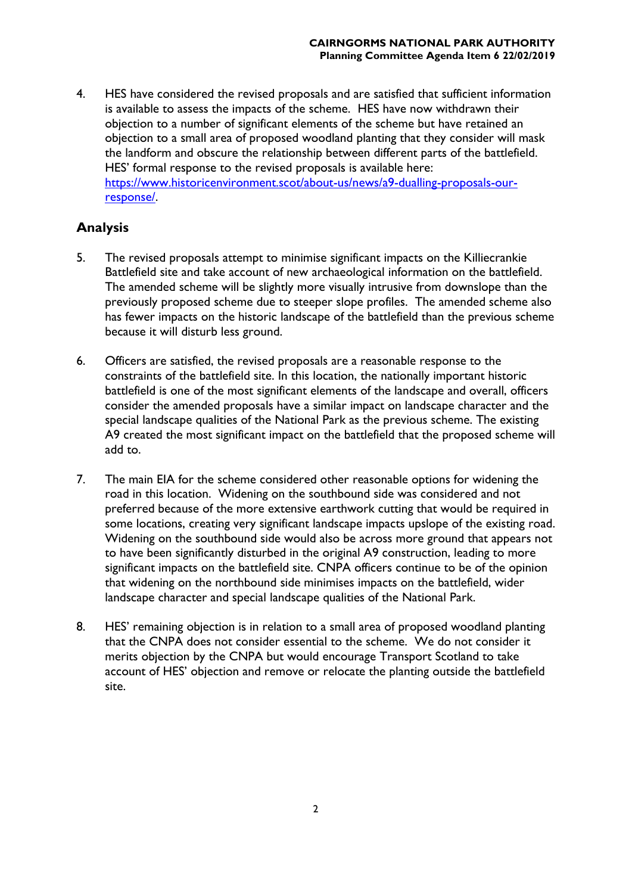4. HES have considered the revised proposals and are satisfied that sufficient information is available to assess the impacts of the scheme. HES have now withdrawn their objection to a number of significant elements of the scheme but have retained an objection to a small area of proposed woodland planting that they consider will mask the landform and obscure the relationship between different parts of the battlefield. HES' formal response to the revised proposals is available here: https://www.historicenvironment.scot/about-us/news/a9-dualling-proposals-ourresponse/.

### **Analysis**

- 5. The revised proposals attempt to minimise significant impacts on the Killiecrankie Battlefield site and take account of new archaeological information on the battlefield. The amended scheme will be slightly more visually intrusive from downslope than the previously proposed scheme due to steeper slope profiles. The amended scheme also has fewer impacts on the historic landscape of the battlefield than the previous scheme because it will disturb less ground.
- 6. Officers are satisfied, the revised proposals are a reasonable response to the constraints of the battlefield site. In this location, the nationally important historic battlefield is one of the most significant elements of the landscape and overall, officers consider the amended proposals have a similar impact on landscape character and the special landscape qualities of the National Park as the previous scheme. The existing A9 created the most significant impact on the battlefield that the proposed scheme will add to.
- 7. The main EIA for the scheme considered other reasonable options for widening the road in this location. Widening on the southbound side was considered and not preferred because of the more extensive earthwork cutting that would be required in some locations, creating very significant landscape impacts upslope of the existing road. Widening on the southbound side would also be across more ground that appears not to have been significantly disturbed in the original A9 construction, leading to more significant impacts on the battlefield site. CNPA officers continue to be of the opinion that widening on the northbound side minimises impacts on the battlefield, wider landscape character and special landscape qualities of the National Park.
- 8. HES' remaining objection is in relation to a small area of proposed woodland planting that the CNPA does not consider essential to the scheme. We do not consider it merits objection by the CNPA but would encourage Transport Scotland to take account of HES' objection and remove or relocate the planting outside the battlefield site.